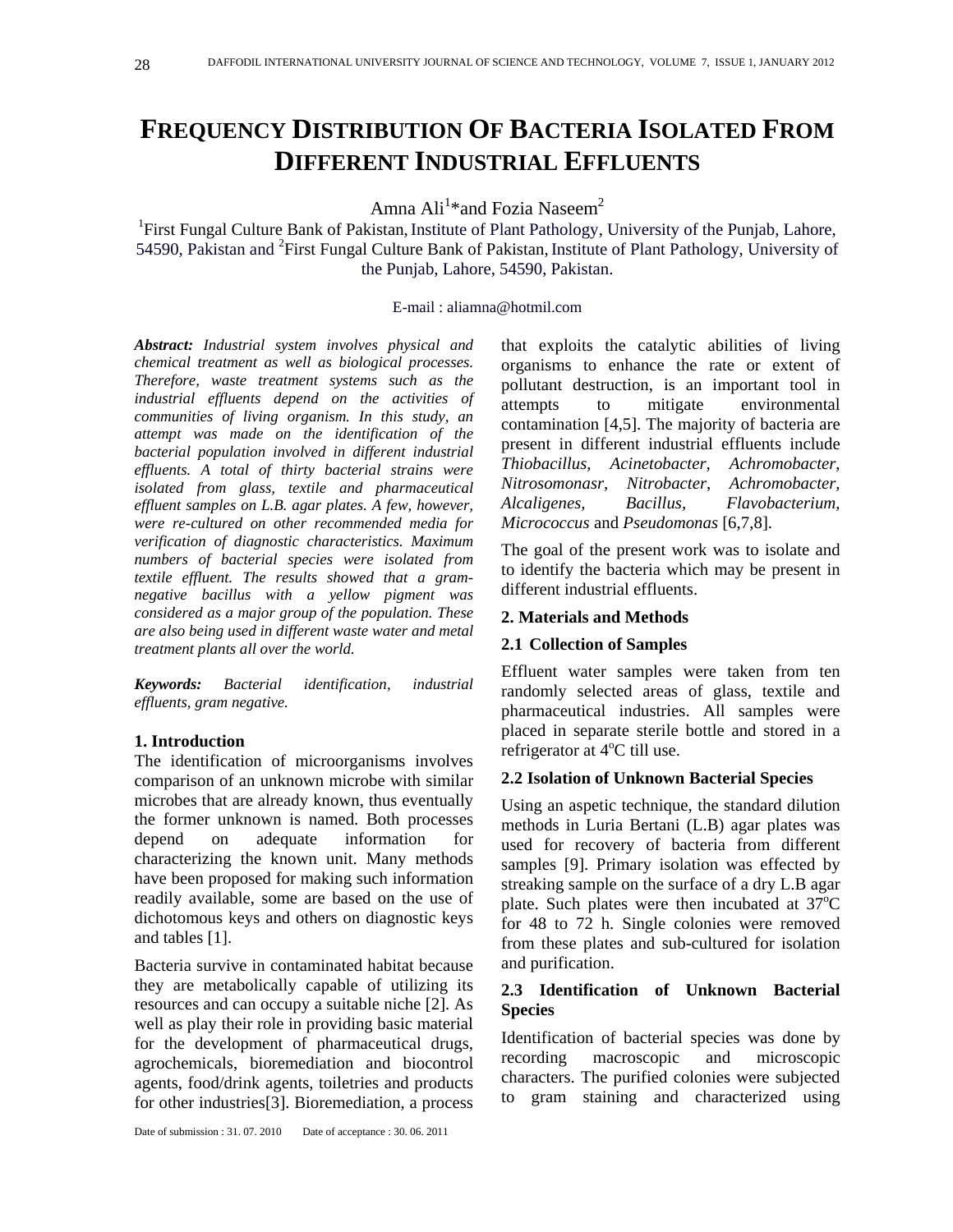# **FREQUENCY DISTRIBUTION OF BACTERIA ISOLATED FROM DIFFERENT INDUSTRIAL EFFLUENTS**

Amna Ali<sup>1\*</sup>and Fozia Naseem<sup>2</sup>

<sup>1</sup>First Fungal Culture Bank of Pakistan, Institute of Plant Pathology, University of the Punjab, Lahore, 54590, Pakistan and <sup>2</sup>First Fungal Culture Bank of Pakistan, Institute of Plant Pathology, University of the Punjab, Lahore, 54590, Pakistan.

### E-mail : aliamna@hotmil.com

*Abstract: Industrial system involves physical and chemical treatment as well as biological processes. Therefore, waste treatment systems such as the industrial effluents depend on the activities of communities of living organism. In this study, an attempt was made on the identification of the bacterial population involved in different industrial effluents. A total of thirty bacterial strains were isolated from glass, textile and pharmaceutical effluent samples on L.B. agar plates. A few, however, were re-cultured on other recommended media for verification of diagnostic characteristics. Maximum numbers of bacterial species were isolated from textile effluent. The results showed that a gramnegative bacillus with a yellow pigment was considered as a major group of the population. These are also being used in different waste water and metal treatment plants all over the world.*

*Keywords: Bacterial identification, industrial effluents, gram negative.* 

## **1. Introduction**

The identification of microorganisms involves comparison of an unknown microbe with similar microbes that are already known, thus eventually the former unknown is named. Both processes depend on adequate information for characterizing the known unit. Many methods have been proposed for making such information readily available, some are based on the use of dichotomous keys and others on diagnostic keys and tables [1].

Bacteria survive in contaminated habitat because they are metabolically capable of utilizing its resources and can occupy a suitable niche [2]. As well as play their role in providing basic material for the development of pharmaceutical drugs, agrochemicals, bioremediation and biocontrol agents, food/drink agents, toiletries and products for other industries[3]. Bioremediation, a process

that exploits the catalytic abilities of living organisms to enhance the rate or extent of pollutant destruction, is an important tool in attempts to mitigate environmental contamination [4,5]. The majority of bacteria are present in different industrial effluents include *Thiobacillus, Acinetobacter, Achromobacter*, *Nitrosomonasr, Nitrobacter*, *Achromobacter, Alcaligenes, Bacillus, Flavobacterium, Micrococcus* and *Pseudomonas* [6,7,8].

The goal of the present work was to isolate and to identify the bacteria which may be present in different industrial effluents.

## **2. Materials and Methods**

## **2.1 Collection of Samples**

Effluent water samples were taken from ten randomly selected areas of glass, textile and pharmaceutical industries. All samples were placed in separate sterile bottle and stored in a refrigerator at  $4^{\circ}$ C till use.

# **2.2 Isolation of Unknown Bacterial Species**

Using an aspetic technique, the standard dilution methods in Luria Bertani (L.B) agar plates was used for recovery of bacteria from different samples [9]. Primary isolation was effected by streaking sample on the surface of a dry L.B agar plate. Such plates were then incubated at  $37^{\circ}$ C for 48 to 72 h. Single colonies were removed from these plates and sub-cultured for isolation and purification.

## **2.3 Identification of Unknown Bacterial Species**

Identification of bacterial species was done by recording macroscopic and microscopic characters. The purified colonies were subjected to gram staining and characterized using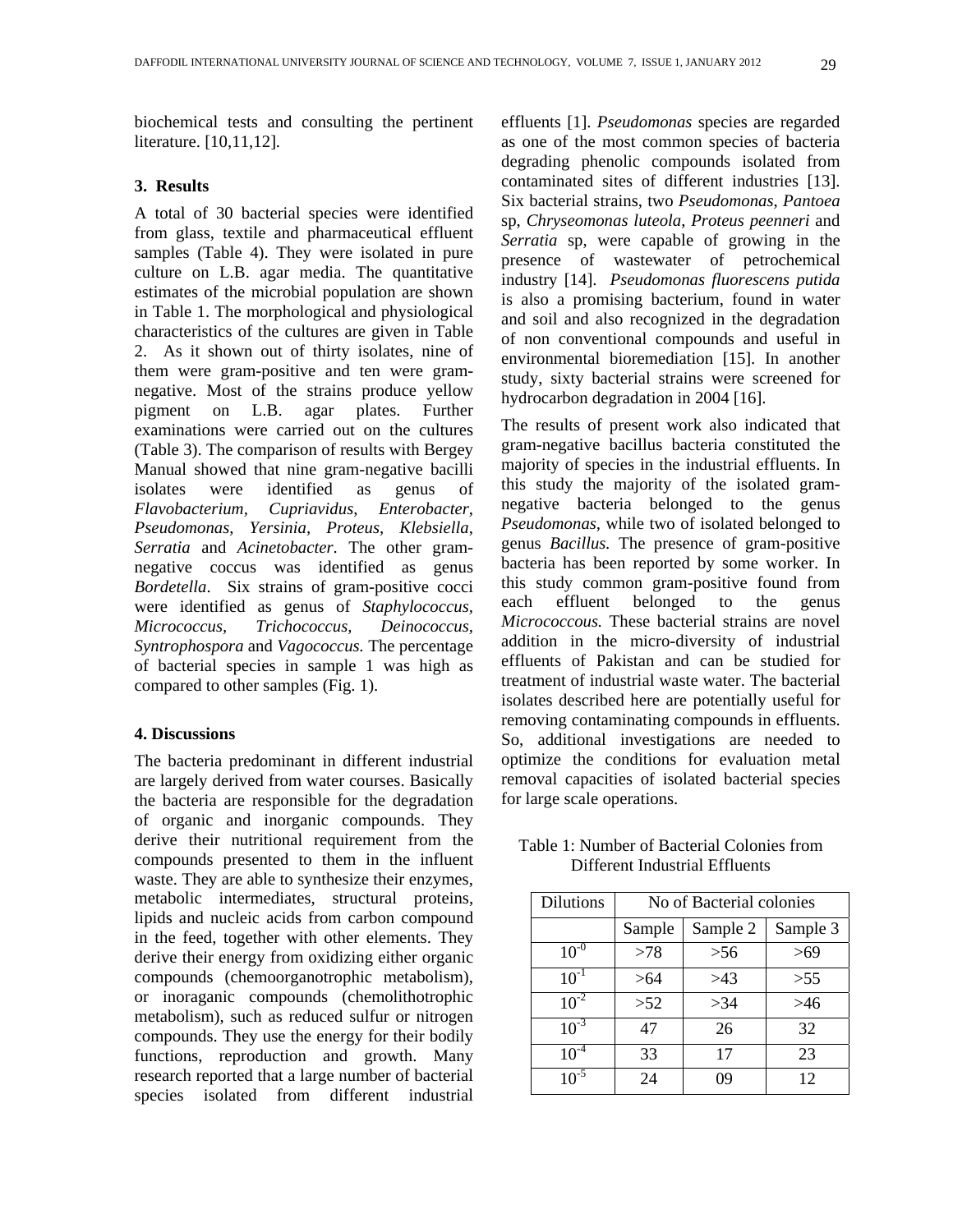biochemical tests and consulting the pertinent literature. [10,11,12].

#### **3. Results**

A total of 30 bacterial species were identified from glass, textile and pharmaceutical effluent samples (Table 4). They were isolated in pure culture on L.B. agar media. The quantitative estimates of the microbial population are shown in Table 1. The morphological and physiological characteristics of the cultures are given in Table 2. As it shown out of thirty isolates, nine of them were gram-positive and ten were gramnegative. Most of the strains produce yellow pigment on L.B. agar plates. Further examinations were carried out on the cultures (Table 3). The comparison of results with Bergey Manual showed that nine gram-negative bacilli isolates were identified as genus of *Flavobacterium, Cupriavidus*, *Enterobacter*, *Pseudomonas*, *Yersinia, Proteus*, *Klebsiella*, *Serratia* and *Acinetobacter*. The other gramnegative coccus was identified as genus *Bordetella*. Six strains of gram-positive cocci were identified as genus of *Staphylococcus, Micrococcus, Trichococcus, Deinococcus, Syntrophospora* and *Vagococcus.* The percentage of bacterial species in sample 1 was high as compared to other samples (Fig. 1).

#### **4. Discussions**

The bacteria predominant in different industrial are largely derived from water courses. Basically the bacteria are responsible for the degradation of organic and inorganic compounds. They derive their nutritional requirement from the compounds presented to them in the influent waste. They are able to synthesize their enzymes, metabolic intermediates, structural proteins, lipids and nucleic acids from carbon compound in the feed, together with other elements. They derive their energy from oxidizing either organic compounds (chemoorganotrophic metabolism), or inoraganic compounds (chemolithotrophic metabolism), such as reduced sulfur or nitrogen compounds. They use the energy for their bodily functions, reproduction and growth. Many research reported that a large number of bacterial species isolated from different industrial

effluents [1]. *Pseudomonas* species are regarded as one of the most common species of bacteria degrading phenolic compounds isolated from contaminated sites of different industries [13]. Six bacterial strains, two *Pseudomonas*, *Pantoea*  sp, *Chryseomonas luteola*, *Proteus peenneri* and *Serratia* sp, were capable of growing in the presence of wastewater of petrochemical industry [14]. *Pseudomonas fluorescens putida*  is also a promising bacterium, found in water and soil and also recognized in the degradation of non conventional compounds and useful in environmental bioremediation [15]. In another study, sixty bacterial strains were screened for hydrocarbon degradation in 2004 [16].

The results of present work also indicated that gram-negative bacillus bacteria constituted the majority of species in the industrial effluents. In this study the majority of the isolated gramnegative bacteria belonged to the genus *Pseudomonas,* while two of isolated belonged to genus *Bacillus.* The presence of gram-positive bacteria has been reported by some worker. In this study common gram-positive found from each effluent belonged to the genus *Micrococcous.* These bacterial strains are novel addition in the micro-diversity of industrial effluents of Pakistan and can be studied for treatment of industrial waste water. The bacterial isolates described here are potentially useful for removing contaminating compounds in effluents. So, additional investigations are needed to optimize the conditions for evaluation metal removal capacities of isolated bacterial species for large scale operations.

| Table 1: Number of Bacterial Colonies from |  |
|--------------------------------------------|--|
| Different Industrial Effluents             |  |

| <b>Dilutions</b> | No of Bacterial colonies |          |          |  |  |  |  |  |  |  |
|------------------|--------------------------|----------|----------|--|--|--|--|--|--|--|
|                  | Sample                   | Sample 2 | Sample 3 |  |  |  |  |  |  |  |
| $10^{-0}$        | >78                      | > 56     | >69      |  |  |  |  |  |  |  |
| $10^{-1}$        | >64                      | >43      | > 55     |  |  |  |  |  |  |  |
| $10^{-2}$        | >52                      | >34      | >46      |  |  |  |  |  |  |  |
| $10^{-3}$        | 47                       | 26       | 32       |  |  |  |  |  |  |  |
| $10^{-4}$        | 33                       | 17       | 23       |  |  |  |  |  |  |  |
| $10^{-5}$        | 24                       | 09       | 12       |  |  |  |  |  |  |  |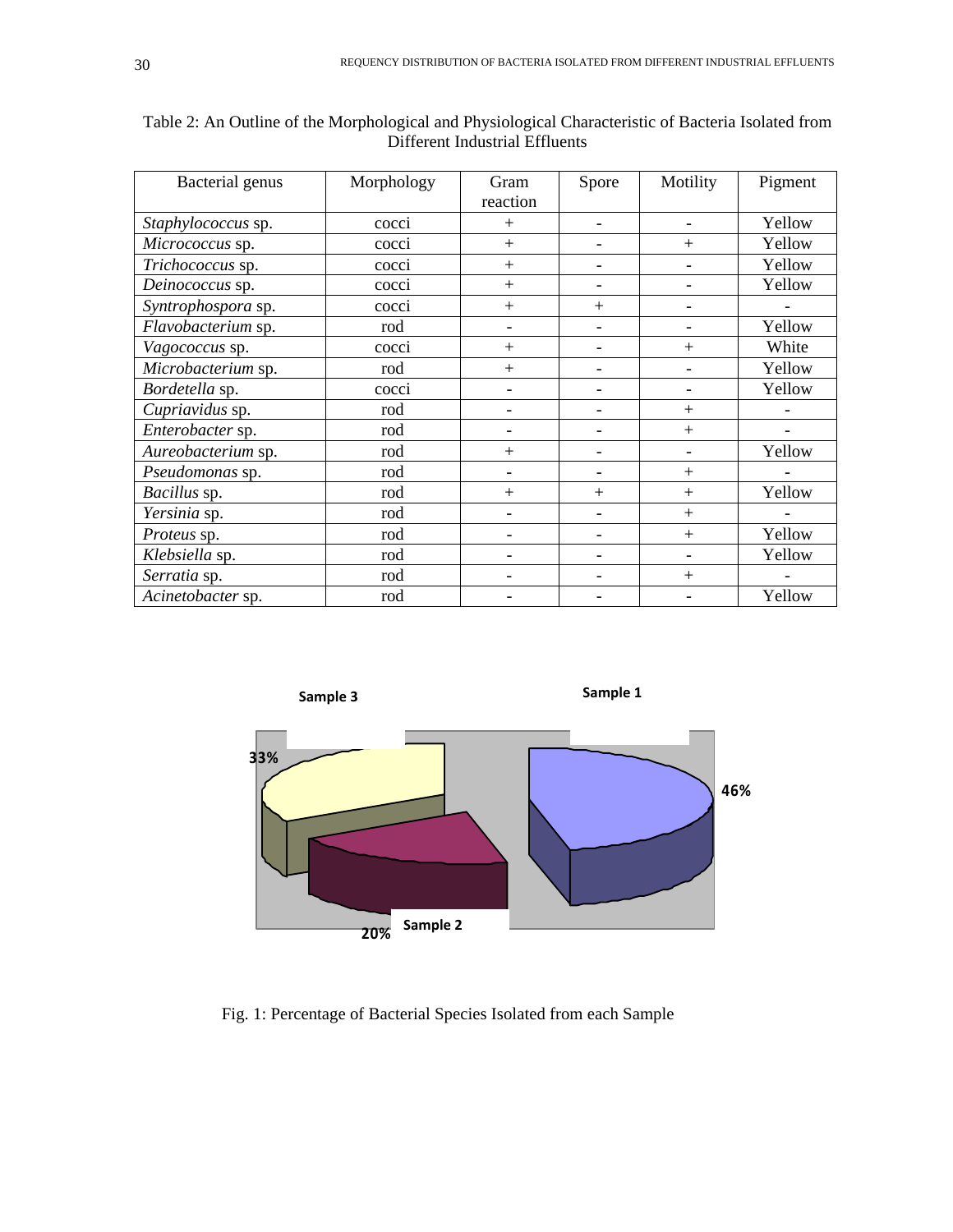| Bacterial genus    | Morphology        | Gram<br>reaction             | Spore                    | Motility                 | Pigment |  |  |  |
|--------------------|-------------------|------------------------------|--------------------------|--------------------------|---------|--|--|--|
| Staphylococcus sp. | cocci             | $+$                          |                          | Yellow                   |         |  |  |  |
| Micrococcus sp.    | cocci             | $+$                          |                          | $+$                      | Yellow  |  |  |  |
| Trichococcus sp.   | cocci             | $+$                          |                          |                          | Yellow  |  |  |  |
| Deinococcus sp.    | cocci             | $+$                          | $\overline{\phantom{0}}$ | Yellow                   |         |  |  |  |
| Syntrophospora sp. | cocci             | $+$                          | $^{+}$                   |                          |         |  |  |  |
| Flavobacterium sp. | rod               | $\qquad \qquad \blacksquare$ |                          |                          | Yellow  |  |  |  |
| Vagococcus sp.     | cocci             | $+$                          |                          | $+$                      | White   |  |  |  |
| Microbacterium sp. | rod               | $+$                          |                          | $\overline{\phantom{0}}$ | Yellow  |  |  |  |
| Bordetella sp.     | cocci             |                              |                          |                          | Yellow  |  |  |  |
| Cupriavidus sp.    | rod               |                              |                          | $+$                      |         |  |  |  |
| Enterobacter sp.   | rod               |                              |                          | $+$                      |         |  |  |  |
| Aureobacterium sp. | rod               | $+$                          |                          | $\overline{\phantom{a}}$ | Yellow  |  |  |  |
| Pseudomonas sp.    | rod               |                              |                          | $+$                      |         |  |  |  |
| Bacillus sp.       | rod<br>$+$<br>$+$ |                              |                          |                          |         |  |  |  |
| Yersinia sp.       | rod               |                              |                          | $+$                      |         |  |  |  |
| Proteus sp.        | rod               | ۰                            |                          | $+$                      | Yellow  |  |  |  |
| Klebsiella sp.     | rod               |                              |                          |                          | Yellow  |  |  |  |
| Serratia sp.       | rod               |                              |                          | $+$                      |         |  |  |  |
| Acinetobacter sp.  | rod               |                              |                          |                          | Yellow  |  |  |  |

| Table 2: An Outline of the Morphological and Physiological Characteristic of Bacteria Isolated from |
|-----------------------------------------------------------------------------------------------------|
| Different Industrial Effluents                                                                      |



Fig. 1: Percentage of Bacterial Species Isolated from each Sample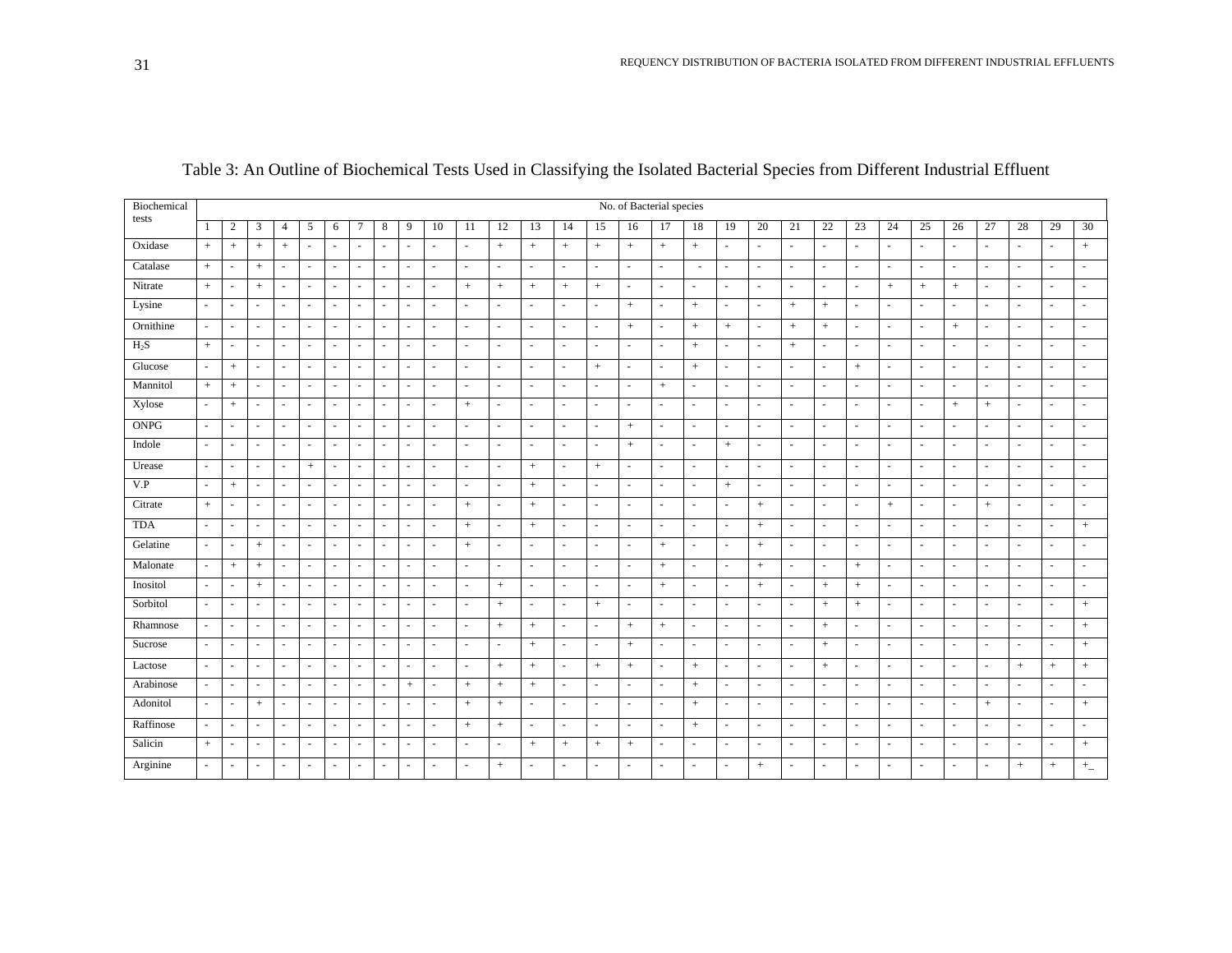| Biochemical | No. of Bacterial species |                          |                          |                          |                          |        |                          |                          |                          |                          |          |                          |                          |                          |                          |                          |                          |                          |                          |                          |                          |           |                |                          |                          |                          |                          |                          |                          |                          |
|-------------|--------------------------|--------------------------|--------------------------|--------------------------|--------------------------|--------|--------------------------|--------------------------|--------------------------|--------------------------|----------|--------------------------|--------------------------|--------------------------|--------------------------|--------------------------|--------------------------|--------------------------|--------------------------|--------------------------|--------------------------|-----------|----------------|--------------------------|--------------------------|--------------------------|--------------------------|--------------------------|--------------------------|--------------------------|
| tests       | -1                       | $\overline{c}$           | 3                        | $\overline{4}$           | 5                        | 6      | $\tau$                   | 8                        | 9                        | 10                       | 11       | 12                       | 13                       | 14                       | 15                       | 16                       | 17                       | 18                       | 19                       | 20                       | 21                       | 22        | 23             | 24                       | 25                       | 26                       | 27                       | 28                       | 29                       | 30                       |
| Oxidase     | $+$                      | $+$                      | $^{+}$                   | $+$                      | $\sim$                   | $\sim$ | ٠                        |                          | $\overline{\phantom{a}}$ | $\sim$                   | $\sim$   | $+$                      | $+$                      | $+$                      | $+$                      | $+$                      | $+$                      | $+$                      | $\sim$                   | $\sim$                   | $\overline{\phantom{a}}$ | $\sim$    | ÷              | $\overline{\phantom{a}}$ | $\sim$                   | $\overline{\phantom{a}}$ | $\sim$                   | $\sim$                   | $\sim$                   | $+$                      |
| Catalase    | $+$                      | $\sim$                   | $+$                      | $\overline{\phantom{a}}$ | $\sim$                   | $\sim$ | $\sim$                   | $\overline{\phantom{a}}$ | $\sim$                   | $\sim$                   | $\sim$   | $\ddot{\phantom{1}}$     | $\sim$                   | ٠                        | $\sim$                   | $\overline{\phantom{a}}$ | $\sim$                   | $\sim$                   | $\sim$                   | $\omega$                 | $\overline{a}$           | $\sim$    | $\overline{a}$ | ÷                        | $\sim$                   | $\sim$                   | $\overline{\phantom{a}}$ | $\sim$                   | $\sim$                   | $\sim$                   |
| Nitrate     | $\, +$                   | $\sim$                   | $+$                      | $\overline{\phantom{a}}$ | $\sim$                   | $\sim$ | $\overline{\phantom{a}}$ |                          | $\sim$                   |                          | $^{+}$   | $^{+}$                   | $^{+}$                   | $+$                      | $+$                      | $\sim$                   | $\sim$                   | $\sim$                   | $\sim$                   | $\sim$                   |                          | $\sim$    | $\overline{a}$ | $^{+}$                   | $+$                      | $+$                      | $\overline{\phantom{a}}$ | $\overline{\phantom{a}}$ | ×.                       | $\sim$                   |
| Lysine      | $\sim$                   | $\sim$                   |                          | $\sim$                   | ÷,                       | ÷.     | $\overline{\phantom{a}}$ |                          | $\sim$                   | $\sim$                   | ÷        | $\ddot{\phantom{1}}$     | $\sim$                   | ÷.                       | $\overline{\phantom{a}}$ | $+$                      | $\sim$                   | $+$                      | $\blacksquare$           | $\overline{\phantom{a}}$ | $+$                      | $+$       | $\overline{a}$ | ÷.                       | $\sim$                   |                          | $\sim$                   | $\overline{\phantom{a}}$ | $\blacksquare$           | $\sim$                   |
| Ornithine   | $\sim$                   | $\overline{a}$           |                          | $\sim$                   | $\sim$                   | $\sim$ | ٠                        |                          | $\overline{\phantom{a}}$ | $\overline{\phantom{a}}$ | $\sim$   | ٠                        | $\overline{\phantom{a}}$ | ٠                        | $\sim$                   | $+$                      | $\overline{\phantom{a}}$ | $\! +$                   | $\! + \!\!\!\!$          | $\sim$                   | $^{+}$                   | $\! +$    | ٠              | $\sim$                   | $\sim$                   | $+$                      | $\sim$                   | $\overline{\phantom{a}}$ | $\sim$                   | ٠                        |
| $H_2S$      | $+$                      | $\overline{\phantom{a}}$ | $\overline{\phantom{a}}$ | $\sim$                   | ÷.                       | $\sim$ | $\sim$                   | $\sim$                   | ÷.                       | $\sim$                   | $\sim$   | $\overline{\phantom{a}}$ | $\sim$                   | ٠                        | $\sim$                   | $\sim$                   | $\sim$                   | $\! +$                   | $\sim$                   | $\sim$                   | $+$                      | $\sim$    | ٠              | ÷                        | $\sim$                   | $\sim$                   | $\overline{a}$           | $\sim$                   | ÷                        | $\sim$                   |
| Glucose     | $\sim$                   | $+$                      | $\sim$                   | $\sim$                   | ÷,                       | $\sim$ | $\overline{\phantom{a}}$ | $\sim$                   | $\sim$                   | $\sim$                   | $\sim$   | ä,                       | $\omega$                 | $\sim$                   | $+$                      | $\sim$                   | $\overline{\phantom{a}}$ | $+$                      | $\bar{a}$                | $\omega$                 | $\sim$                   | $\sim$    | $+$            | $\omega$                 | ÷.                       | $\sim$                   | $\sim$                   | ÷,                       | $\sim$                   | $\sim$                   |
| Mannitol    | $+$                      | $+$                      | $\overline{\phantom{a}}$ | $\sim$                   | $\blacksquare$           | $\sim$ | $\sim$                   |                          | $\overline{\phantom{a}}$ | $\overline{\phantom{a}}$ | $\sim$   | $\sim$                   | $\overline{\phantom{a}}$ | ٠                        | $\sim$                   | $\sim$                   | $^{+}$                   | $\overline{\phantom{a}}$ | $\overline{\phantom{a}}$ | $\sim$                   | $\overline{\phantom{a}}$ | $\sim$    | $\sim$         | $\overline{\phantom{a}}$ | $\overline{\phantom{a}}$ | $\sim$                   | $\sim$                   | $\sim$                   | $\overline{\phantom{a}}$ | $\overline{\phantom{a}}$ |
| Xylose      | $\sim$                   | $+$                      | $\sim$                   | $\omega$                 | $\omega$                 | $\sim$ | $\sim$                   |                          | $\sim$                   | $\sim$                   | $+$      | $\overline{\phantom{a}}$ | $\sim$                   | ٠                        | $\sim$                   | $\overline{\phantom{a}}$ | $\sim$                   | $\sim$                   | $\sim$                   | $\sim$                   |                          | $\sim$    | ٠              | $\bar{a}$                | $\sim$                   | $+$                      | $^{+}$                   | $\overline{\phantom{a}}$ | $\sim$                   | ٠                        |
| <b>ONPG</b> | $\sim$                   | $\sim$                   | $\sim$                   | $\sim$                   | $\sim$                   | $\sim$ | ÷.                       | $\sim$                   | ÷.                       | $\sim$                   | $\omega$ | $\sim$                   | $\omega$                 | ×.                       | $\sim$                   | $+$                      | $\sim$                   | $\sim$                   | ÷.                       | $\omega$                 | $\sim$                   | $\sim$    | $\sim$         | $\sim$                   | $\sim$                   | $\sim$                   | $\sim$                   | $\sim$                   | $\omega$                 | $\sim$                   |
| Indole      | $\sim$                   | $\sim$                   | $\sim$                   | $\sim$                   | ÷,                       | $\sim$ | $\overline{\phantom{a}}$ | $\sim$                   | $\sim$                   | $\sim$                   | $\sim$   | ä,                       | $\omega$                 | $\sim$                   | $\sim$                   | $+$                      | $\overline{\phantom{a}}$ | ÷,                       | $+$                      | $\sim$                   | $\overline{\phantom{a}}$ | $\sim$    | ÷,             | $\omega$                 | ÷.                       | $\sim$                   | ÷.                       | $\sim$                   | $\sim$                   | $\sim$                   |
| Urease      | $\sim$                   | $\overline{\phantom{a}}$ | $\overline{\phantom{a}}$ | $\sim$                   | $\, +$                   | $\sim$ | $\overline{\phantom{a}}$ | $\sim$                   | $\overline{\phantom{a}}$ | $\sim$                   | $\sim$   | $\overline{\phantom{a}}$ | $^{+}$                   | ٠                        | $+$                      | $\sim$                   | $\overline{\phantom{a}}$ | $\sim$                   | $\sim$                   | $\sim$                   | $\overline{\phantom{a}}$ | $\sim$    | ٠              | $\overline{\phantom{a}}$ | $\sim$                   | $\sim$                   | $\overline{\phantom{a}}$ | $\overline{\phantom{a}}$ | ×.                       | $\sim$                   |
| V.P         | $\sim$                   | $\! +$                   | $\overline{\phantom{a}}$ | $\sim$                   | ÷.                       | ÷.     | ÷                        | $\sim$                   | ÷.                       | $\sim$                   | $\sim$   | $\sim$                   | $^{+}$                   | $\sim$                   | $\sim$                   | $\sim$                   | $\sim$                   | $\sim$                   | $\! + \!\!\!\!$          | $\sim$                   | $\sim$                   | $\sim$    | $\sim$         | $\sim$                   | $\sim$                   | $\sim$                   | $\sim$                   | $\sim$                   | $\sim$                   | ÷.                       |
| Citrate     | $\pm$                    | $\sim$                   | $\overline{\phantom{a}}$ | $\sim$                   | $\sim$                   | $\sim$ | ÷.                       | $\sim$                   | ÷.                       | $\sim$                   | $\pm$    | $\sim$                   | $+$                      | $\sim$                   | $\sim$                   | $\sim$                   | $\sim$                   | $\sim$                   | ÷.                       | $\, +$                   | $\overline{\phantom{a}}$ | $\sim$    | $\sim$         | $+$                      | $\sim$                   | $\sim$                   | $+$                      | $\sim$                   | $\sim$                   | $\sim$                   |
| <b>TDA</b>  | $\sim$                   | $\overline{\phantom{a}}$ |                          | $\sim$                   | $\sim$                   | $\sim$ | ٠                        |                          | $\sim$                   | $\sim$                   | $+$      | $\sim$                   | $^{+}$                   | ٠                        | $\sim$                   |                          | $\sim$                   | $\sim$                   | $\sim$                   | $+$                      | $\overline{\phantom{a}}$ | $\sim$    | ÷              | $\overline{\phantom{a}}$ | $\overline{\phantom{a}}$ | ٠                        | $\sim$                   | $\sim$                   | ×.                       | $+$                      |
| Gelatine    | $\sim$                   | $\sim$                   | $^{+}$                   | $\sim$                   | $\omega$                 | $\sim$ | $\sim$                   | $\sim$                   | $\sim$                   | $\sim$                   | $+$      | $\sim$                   | $\omega$                 | ٠                        | $\sim$                   | $\sim$                   | $^{+}$                   | $\sim$                   | $\sim$                   | $+$                      | $\sim$                   | $\sim$    | $\sim$         | $\omega$                 | $\sim$                   | $\sim$                   | $\overline{\phantom{a}}$ | $\overline{\phantom{a}}$ | $\sim$                   | $\sim$                   |
| Malonate    | $\sim$                   | $+$                      | $+$                      | $\sim$                   | $\sim$                   | $\sim$ | ÷                        | $\sim$                   | $\sim$                   | $\sim$                   | $\sim$   | ÷                        | $\omega$                 | ä,                       | $\sim$                   | $\sim$                   | $+$                      | $\sim$                   | $\sim$                   | $+$                      | $\sim$                   | $\sim$    | $^{+}$         | $\sim$                   | $\overline{\phantom{a}}$ | $\sim$                   | $\sim$                   | ä,                       | $\sim$                   | $\sim$                   |
| Inositol    | $\overline{\phantom{a}}$ | $\sim$                   | $\,+\,$                  | $\sim$                   | $\blacksquare$           | $\sim$ | $\sim$                   |                          | $\overline{\phantom{a}}$ | $\sim$                   | $\sim$   | $+$                      | $\sim$                   | $\overline{\phantom{a}}$ | $\sim$                   |                          | $+$                      | $\sim$                   | $\sim$                   | $+$                      | $\sim$                   | $+$       | $+$            | $\sim$                   | $\overline{\phantom{a}}$ |                          | $\sim$                   | $\overline{a}$           | $\overline{\phantom{a}}$ | $\sim$                   |
| Sorbitol    | $\sim$                   | $\overline{\phantom{a}}$ | $\overline{\phantom{a}}$ | $\sim$                   | $\sim$                   | $\sim$ | $\sim$                   | $\overline{\phantom{a}}$ | $\sim$                   | $\sim$                   | $\sim$   | $+$                      | $\overline{\phantom{a}}$ | $\sim$                   | $+$                      | $\sim$                   | $\sim$                   | $\sim$                   | $\sim$                   | $\overline{\phantom{a}}$ | $\sim$                   | $+$       | $+$            | $\overline{\phantom{a}}$ | $\sim$                   | $\sim$                   | $\overline{a}$           | $\sim$                   | $\sim$                   | $+$                      |
| Rhamnose    | $\sim$                   | $\sim$                   | $\sim$                   | ÷.                       | ä,                       | ÷.     | $\overline{a}$           |                          | $\sim$                   | $\sim$                   | $\sim$   | $+$                      | $^{+}$                   | ٠                        | $\sim$                   | $^{+}$                   | $+$                      | $\sim$                   | $\sim$                   | $\sim$                   |                          | $+$       | $\overline{a}$ | $\sim$                   | $\sim$                   |                          | $\sim$                   | $\sim$                   | $\sim$                   | $+$                      |
| Sucrose     | $\sim$                   | $\sim$                   |                          | ÷.                       | $\sim$                   | $\sim$ | $\overline{\phantom{a}}$ |                          | $\overline{\phantom{a}}$ | $\sim$                   | $\sim$   | $\ddot{\phantom{1}}$     | $^{+}$                   | ٠                        | $\sim$                   | $+$                      | $\sim$                   | ÷,                       | ÷.                       | $\omega$                 | $\overline{\phantom{a}}$ | $\ddot{}$ | $\overline{a}$ | $\sim$                   | $\sim$                   | $\sim$                   | $\overline{\phantom{a}}$ | $\sim$                   | ×.                       | $+$                      |
| Lactose     | $\sim$                   | $\overline{\phantom{a}}$ |                          | $\sim$                   | $\sim$                   | $\sim$ | $\overline{\phantom{a}}$ | $\sim$                   | $\overline{\phantom{a}}$ | $\sim$                   | $\sim$   | $^{+}$                   | $+$                      | ٠                        | $+$                      | $^{+}$                   | $\sim$                   | $+$                      | $\sim$                   | $\overline{\phantom{a}}$ | $\overline{\phantom{a}}$ | $+$       | ٠              | $\overline{\phantom{a}}$ | $\sim$                   | $\sim$                   | $\overline{\phantom{a}}$ | $+$                      | $+$                      | $+$                      |
| Arabinose   | $\sim$                   | $\sim$                   | $\overline{\phantom{a}}$ | $\sim$                   | $\omega$                 | $\sim$ | $\sim$                   | $\sim$                   |                          | $\sim$                   | $+$      | $+$                      | $^{+}$                   | $\sim$                   | $\sim$                   | $\sim$                   | $\overline{\phantom{a}}$ | $\! +$                   | $\sim$                   | $\sim$                   | $\overline{\phantom{a}}$ | $\sim$    | $\sim$         | $\sim$                   | $\sim$                   | $\sim$                   | $\overline{\phantom{a}}$ | $\sim$                   | $\bar{a}$                | $\sim$                   |
| Adonitol    | $\sim$                   | $\sim$                   | $+$                      | $\sim$                   | $\overline{\phantom{a}}$ | $\sim$ | ÷.                       |                          | $\overline{\phantom{a}}$ | $\sim$                   | $+$      | $+$                      | ä,                       | ÷,                       | $\sim$                   | $\sim$                   | $\overline{\phantom{a}}$ | $+$                      | $\overline{\phantom{a}}$ | $\omega$                 |                          | ÷         | $\sim$         | $\omega$                 | ×.                       | $\sim$                   | $^{+}$                   | $\sim$                   | $\sim$                   | $+$                      |
| Raffinose   | $\sim$                   | $\overline{\phantom{a}}$ | $\overline{\phantom{a}}$ | $\sim$                   | $\overline{\phantom{a}}$ | $\sim$ | $\sim$                   | $\sim$                   | $\overline{\phantom{a}}$ | $\sim$                   | $+$      | $\, +$                   | $\overline{\phantom{a}}$ | ٠                        | $\sim$                   | $\sim$                   | $\overline{\phantom{a}}$ | $\! +$                   | $\overline{\phantom{a}}$ | $\sim$                   | $\overline{\phantom{a}}$ | $\sim$    | $\sim$         | $\sim$                   | $\sim$                   | $\sim$                   | $\overline{\phantom{a}}$ | $\overline{\phantom{a}}$ | $\sim$                   | $\sim$                   |
| Salicin     | $\! +$                   | $\overline{a}$           | $\overline{a}$           | $\sim$                   | $\sim$                   | $\sim$ | ٠                        |                          | ٠                        |                          | a.       | ÷.                       | $^{+}$                   | $^{+}$                   | $^{+}$                   | $^{+}$                   | $\sim$                   | $\sim$                   | $\sim$                   | $\sim$                   |                          | $\sim$    | ÷              | $\overline{\phantom{a}}$ | ÷.                       |                          | $\sim$                   | $\sim$                   | $\sim$                   | $\boldsymbol{+}$         |
| Arginine    | $\sim$                   | $\sim$                   | $\sim$                   | $\sim$                   | ÷.                       | $\sim$ | $\overline{\phantom{a}}$ | $\sim$                   | $\overline{\phantom{a}}$ | $\sim$                   | $\sim$   | $^{+}$                   | $\overline{\phantom{a}}$ | ٠                        |                          | $\overline{a}$           | $\sim$                   | $\sim$                   | ÷.                       | $+$                      | $\sim$                   | ÷         | $\sim$         | $\overline{\phantom{a}}$ | $\sim$                   |                          | $\overline{\phantom{a}}$ | $^{+}$                   | $\! +$                   | $+$                      |

Table 3: An Outline of Biochemical Tests Used in Classifying the Isolated Bacterial Species from Different Industrial Effluent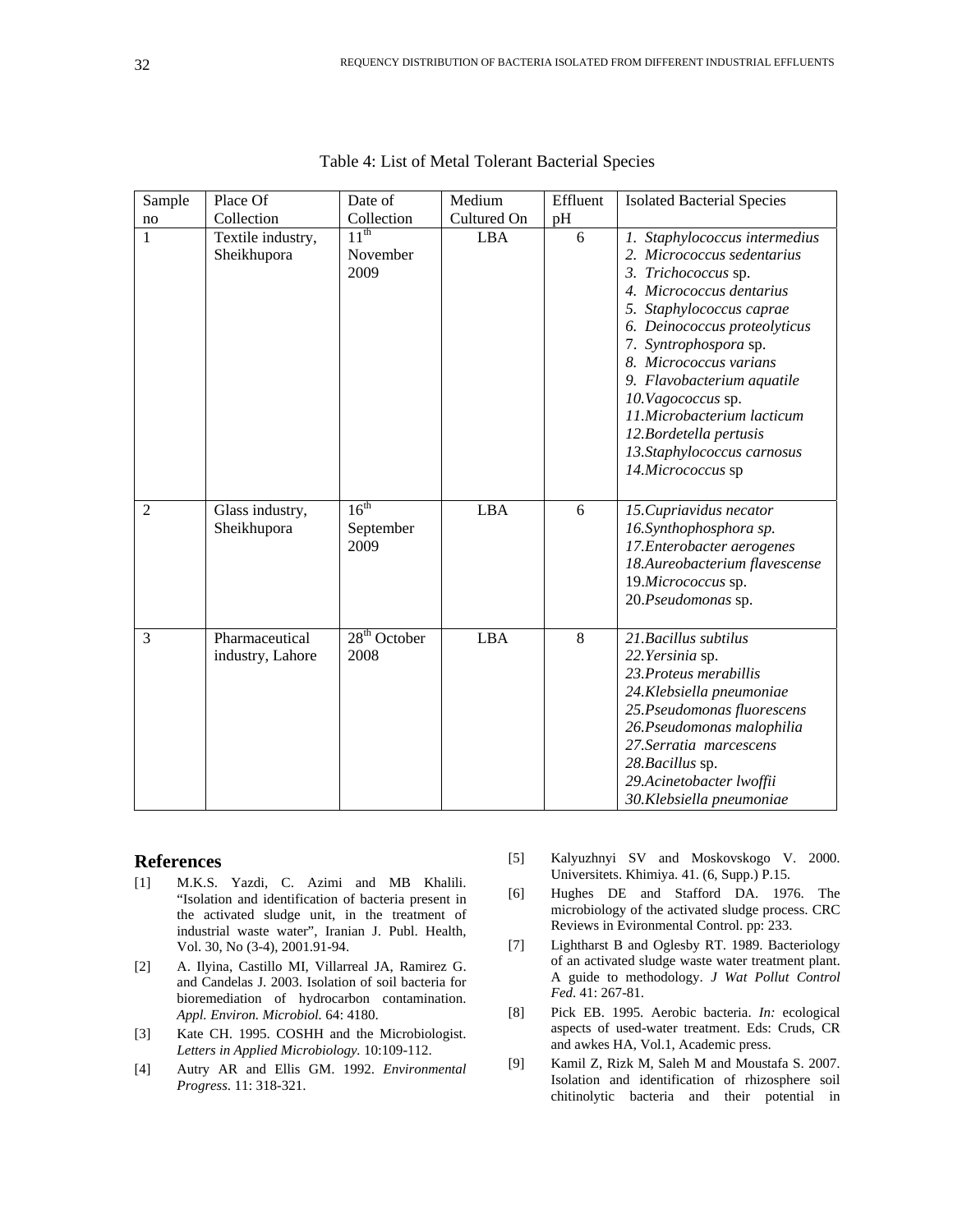| Sample         | Place Of                           | Date of                               | Medium      | Effluent | <b>Isolated Bacterial Species</b>                                                                                                                                                                                                                                                                                                                                        |
|----------------|------------------------------------|---------------------------------------|-------------|----------|--------------------------------------------------------------------------------------------------------------------------------------------------------------------------------------------------------------------------------------------------------------------------------------------------------------------------------------------------------------------------|
| no             | Collection                         | Collection                            | Cultured On | pH       |                                                                                                                                                                                                                                                                                                                                                                          |
| $\mathbf{1}$   | Textile industry,<br>Sheikhupora   | $11^{th}$<br>November<br>2009         | <b>LBA</b>  | 6        | 1. Staphylococcus intermedius<br>2. Micrococcus sedentarius<br>3. Trichococcus sp.<br>4. Micrococcus dentarius<br>5. Staphylococcus caprae<br>6. Deinococcus proteolyticus<br>7. Syntrophospora sp.<br>8. Micrococcus varians<br>9. Flavobacterium aquatile<br>10. Vagococcus sp.<br>11.Microbacterium lacticum<br>12.Bordetella pertusis<br>13. Staphylococcus carnosus |
| $\overline{2}$ | Glass industry,<br>Sheikhupora     | 16 <sup>th</sup><br>September<br>2009 | <b>LBA</b>  | 6        | 14.Micrococcus sp<br>15. Cupriavidus necator<br>16.Synthophosphora sp.<br>17. Enterobacter aerogenes<br>18.Aureobacterium flavescense<br>19.Micrococcus sp.<br>20.Pseudomonas sp.                                                                                                                                                                                        |
| 3              | Pharmaceutical<br>industry, Lahore | $28th$ October<br>2008                | <b>LBA</b>  | 8        | 21. Bacillus subtilus<br>22. Yersinia sp.<br>23. Proteus merabillis<br>24. Klebsiella pneumoniae<br>25. Pseudomonas fluorescens<br>26. Pseudomonas malophilia<br>27. Serratia marcescens<br>28. Bacillus sp.<br>29.Acinetobacter lwoffii<br>30. Klebsiella pneumoniae                                                                                                    |

Table 4: List of Metal Tolerant Bacterial Species

#### **References**

- [1] M.K.S. Yazdi, C. Azimi and MB Khalili. "Isolation and identification of bacteria present in the activated sludge unit, in the treatment of industrial waste water", Iranian J. Publ. Health, Vol. 30, No (3-4), 2001.91-94.
- [2] A. Ilyina, Castillo MI, Villarreal JA, Ramirez G. and Candelas J. 2003. Isolation of soil bacteria for bioremediation of hydrocarbon contamination. *Appl. Environ. Microbiol.* 64: 4180.
- [3] Kate CH. 1995. COSHH and the Microbiologist. *Letters in Applied Microbiology.* 10:109-112.
- [4] Autry AR and Ellis GM. 1992. *Environmental Progress*. 11: 318-321.
- [5] Kalyuzhnyi SV and Moskovskogo V. 2000. Universitets. Khimiya. 41. (6, Supp.) P.15.
- [6] Hughes DE and Stafford DA. 1976. The microbiology of the activated sludge process. CRC Reviews in Evironmental Control. pp: 233.
- [7] Lightharst B and Oglesby RT. 1989. Bacteriology of an activated sludge waste water treatment plant. A guide to methodology. *J Wat Pollut Control Fed*. 41: 267-81.
- [8] Pick EB. 1995. Aerobic bacteria. *In:* ecological aspects of used-water treatment. Eds: Cruds, CR and awkes HA, Vol.1, Academic press.
- [9] Kamil Z, Rizk M, Saleh M and Moustafa S. 2007. Isolation and identification of rhizosphere soil chitinolytic bacteria and their potential in